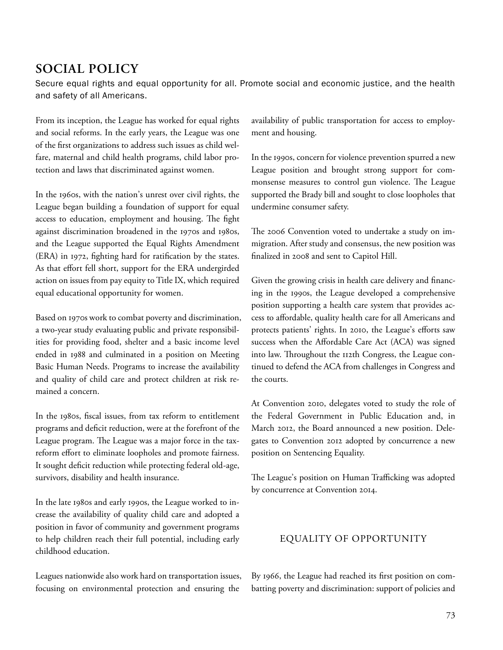# SOCIAL POLICY

Secure equal rights and equal opportunity for all. Promote social and economic justice, and the health and safety of all Americans.

From its inception, the League has worked for equal rights and social reforms. In the early years, the League was one of the first organizations to address such issues as child welfare, maternal and child health programs, child labor protection and laws that discriminated against women.

In the 1960s, with the nation's unrest over civil rights, the League began building a foundation of support for equal access to education, employment and housing. The fight against discrimination broadened in the 1970s and 1980s, and the League supported the Equal Rights Amendment (ERA) in 1972, fighting hard for ratification by the states. As that effort fell short, support for the ERA undergirded action on issues from pay equity to Title IX, which required equal educational opportunity for women.

Based on 1970s work to combat poverty and discrimination, a two-year study evaluating public and private responsibilities for providing food, shelter and a basic income level ended in 1988 and culminated in a position on Meeting Basic Human Needs. Programs to increase the availability and quality of child care and protect children at risk remained a concern.

In the 1980s, fiscal issues, from tax reform to entitlement programs and deficit reduction, were at the forefront of the League program. The League was a major force in the taxreform effort to eliminate loopholes and promote fairness. It sought deficit reduction while protecting federal old-age, survivors, disability and health insurance.

In the late 1980s and early 1990s, the League worked to increase the availability of quality child care and adopted a position in favor of community and government programs to help children reach their full potential, including early childhood education.

Leagues nationwide also work hard on transportation issues, focusing on environmental protection and ensuring the

availability of public transportation for access to employment and housing.

In the 1990s, concern for violence prevention spurred a new League position and brought strong support for commonsense measures to control gun violence. The League supported the Brady bill and sought to close loopholes that undermine consumer safety.

The 2006 Convention voted to undertake a study on immigration. After study and consensus, the new position was finalized in 2008 and sent to Capitol Hill.

Given the growing crisis in health care delivery and financing in the 1990s, the League developed a comprehensive position supporting a health care system that provides access to affordable, quality health care for all Americans and protects patients' rights. In 2010, the League's efforts saw success when the Affordable Care Act (ACA) was signed into law. Throughout the 112th Congress, the League continued to defend the ACA from challenges in Congress and the courts.

At Convention 2010, delegates voted to study the role of the Federal Government in Public Education and, in March 2012, the Board announced a new position. Delegates to Convention 2012 adopted by concurrence a new position on Sentencing Equality.

The League's position on Human Trafficking was adopted by concurrence at Convention 2014.

# EQUALITY OF OPPORTUNITY

By 1966, the League had reached its first position on combatting poverty and discrimination: support of policies and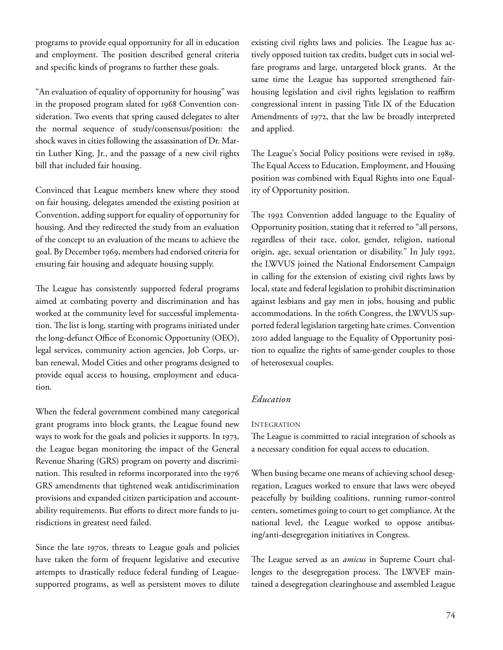programs to provide equal opportunity for all in education and employment. The position described general criteria and specific kinds of programs to further these goals.

"An evaluation of equality of opportunity for housing" was in the proposed program slated for 1968 Convention consideration. Two events that spring caused delegates to alter the normal sequence of study/consensus/position: the shock waves in cities following the assassination of Dr. Martin Luther King, Jr., and the passage of a new civil rights bill that included fair housing.

Convinced that League members knew where they stood on fair housing, delegates amended the existing position at Convention, adding support for equality of opportunity for housing. And they redirected the study from an evaluation of the concept to an evaluation of the means to achieve the goal. By December 1969, members had endorsed criteria for ensuring fair housing and adequate housing supply.

The League has consistently supported federal programs aimed at combating poverty and discrimination and has worked at the community level for successful implementation. The list is long, starting with programs initiated under the long-defunct Office of Economic Opportunity (OEO), legal services, community action agencies, Job Corps, urban renewal, Model Cities and other programs designed to provide equal access to housing, employment and education.

When the federal government combined many categorical grant programs into block grants, the League found new ways to work for the goals and policies it supports. In 1973, the League began monitoring the impact of the General Revenue Sharing (GRS) program on poverty and discrimination. This resulted in reforms incorporated into the 1976 GRS amendments that tightened weak antidiscrimination provisions and expanded citizen participation and accountability requirements. But efforts to direct more funds to jurisdictions in greatest need failed.

Since the late 1970s, threats to League goals and policies have taken the form of frequent legislative and executive attempts to drastically reduce federal funding of Leaguesupported programs, as well as persistent moves to dilute

existing civil rights laws and policies. The League has actively opposed tuition tax credits, budget cuts in social welfare programs and large, untargeted block grants. At the same time the League has supported strengthened fairhousing legislation and civil rights legislation to reaffirm congressional intent in passing Title IX of the Education Amendments of 1972, that the law be broadly interpreted and applied.

The League's Social Policy positions were revised in 1989. The Equal Access to Education, Employment, and Housing position was combined with Equal Rights into one Equality of Opportunity position.

The 1992 Convention added language to the Equality of Opportunity position, stating that it referred to "all persons, regardless of their race, color, gender, religion, national origin, age, sexual orientation or disability." In July 1992, the LWVUS joined the National Endorsement Campaign in calling for the extension of existing civil rights laws by local, state and federal legislation to prohibit discrimination against lesbians and gay men in jobs, housing and public accommodations. In the 106th Congress, the LWVUS supported federal legislation targeting hate crimes. Convention 2010 added language to the Equality of Opportunity position to equalize the rights of same-gender couples to those of heterosexual couples.

# Education

#### INTEGRATION

The League is committed to racial integration of schools as a necessary condition for equal access to education.

When busing became one means of achieving school desegregation, Leagues worked to ensure that laws were obeyed peacefully by building coalitions, running rumor-control centers, sometimes going to court to get compliance. At the national level, the League worked to oppose antibusing/anti-desegregation initiatives in Congress.

The League served as an *amicus* in Supreme Court challenges to the desegregation process. The LWVEF maintained a desegregation clearinghouse and assembled League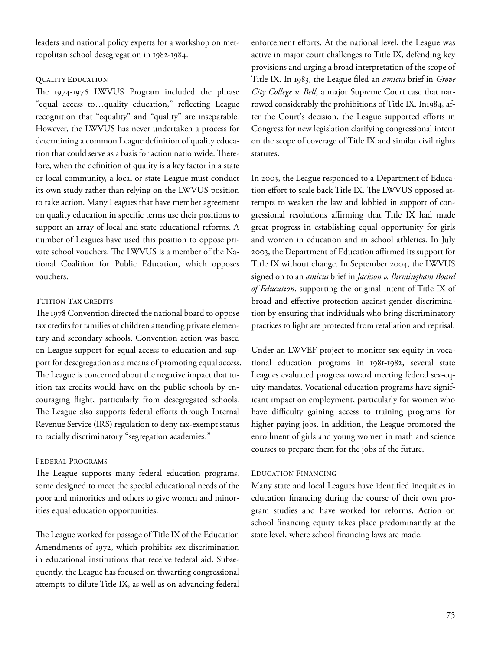leaders and national policy experts for a workshop on metropolitan school desegregation in 1982-1984.

#### QUALITY EDUCATION

The 1974-1976 LWVUS Program included the phrase "equal access to...quality education," reflecting League recognition that "equality" and "quality" are inseparable. However, the LWVUS has never undertaken a process for determining a common League definition of quality education that could serve as a basis for action nationwide. Therefore, when the definition of quality is a key factor in a state or local community, a local or state League must conduct its own study rather than relying on the LWVUS position to take action. Many Leagues that have member agreement on quality education in specific terms use their positions to support an array of local and state educational reforms. A number of Leagues have used this position to oppose private school vouchers. The LWVUS is a member of the National Coalition for Public Education, which opposes vouchers.

### TUITION TAX CREDITS

The 1978 Convention directed the national board to oppose tax credits for families of children attending private elementary and secondary schools. Convention action was based on League support for equal access to education and support for desegregation as a means of promoting equal access. The League is concerned about the negative impact that tuition tax credits would have on the public schools by encouraging flight, particularly from desegregated schools. The League also supports federal efforts through Internal Revenue Service (IRS) regulation to deny tax-exempt status to racially discriminatory "segregation academies."

# FEDERAL PROGRAMS

The League supports many federal education programs, some designed to meet the special educational needs of the poor and minorities and others to give women and minorities equal education opportunities.

The League worked for passage of Title IX of the Education Amendments of 1972, which prohibits sex discrimination in educational institutions that receive federal aid. Subsequently, the League has focused on thwarting congressional attempts to dilute Title IX, as well as on advancing federal

enforcement efforts. At the national level, the League was active in major court challenges to Title IX, defending key provisions and urging a broad interpretation of the scope of Title IX. In 1983, the League filed an *amicus* brief in Grove City College v. Bell, a major Supreme Court case that narrowed considerably the prohibitions of Title IX. In1984, after the Court's decision, the League supported efforts in Congress for new legislation clarifying congressional intent on the scope of coverage of Title IX and similar civil rights statutes.

In 2003, the League responded to a Department of Education effort to scale back Title IX. The LWVUS opposed attempts to weaken the law and lobbied in support of congressional resolutions affirming that Title IX had made great progress in establishing equal opportunity for girls and women in education and in school athletics. In July 2003, the Department of Education affirmed its support for Title IX without change. In September 2004, the LWVUS signed on to an amicus brief in Jackson v. Birmingham Board of Education, supporting the original intent of Title IX of broad and effective protection against gender discrimination by ensuring that individuals who bring discriminatory practices to light are protected from retaliation and reprisal.

Under an LWVEF project to monitor sex equity in vocational education programs in 1981-1982, several state Leagues evaluated progress toward meeting federal sex-equity mandates. Vocational education programs have significant impact on employment, particularly for women who have difficulty gaining access to training programs for higher paying jobs. In addition, the League promoted the enrollment of girls and young women in math and science courses to prepare them for the jobs of the future.

# EDUCATION FINANCING

Many state and local Leagues have identified inequities in education financing during the course of their own program studies and have worked for reforms. Action on school financing equity takes place predominantly at the state level, where school financing laws are made.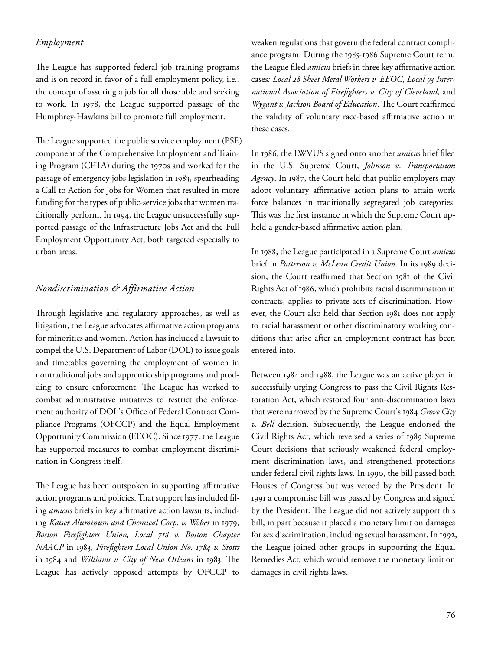# Employment

The League has supported federal job training programs and is on record in favor of a full employment policy, i.e., the concept of assuring a job for all those able and seeking to work. In 1978, the League supported passage of the Humphrey-Hawkins bill to promote full employment.

The League supported the public service employment (PSE) component of the Comprehensive Employment and Training Program (CETA) during the 1970s and worked for the passage of emergency jobs legislation in 1983, spearheading a Call to Action for Jobs for Women that resulted in more funding for the types of public-service jobs that women traditionally perform. In 1994, the League unsuccessfully supported passage of the Infrastructure Jobs Act and the Full Employment Opportunity Act, both targeted especially to urban areas.

# Nondiscrimination & Affirmative Action

Through legislative and regulatory approaches, as well as litigation, the League advocates affirmative action programs for minorities and women. Action has included a lawsuit to compel the U.S. Department of Labor (DOL) to issue goals and timetables governing the employment of women in nontraditional jobs and apprenticeship programs and prodding to ensure enforcement. The League has worked to combat administrative initiatives to restrict the enforcement authority of DOL's Office of Federal Contract Compliance Programs (OFCCP) and the Equal Employment Opportunity Commission (EEOC). Since 1977, the League has supported measures to combat employment discrimination in Congress itself.

The League has been outspoken in supporting affirmative action programs and policies. That support has included filing amicus briefs in key affirmative action lawsuits, including Kaiser Aluminum and Chemical Corp. v. Weber in 1979, Boston Firefighters Union, Local 718 v. Boston Chapter NAACP in 1983, Firefighters Local Union No. 1784 v. Stotts in 1984 and Williams v. City of New Orleans in 1983. The League has actively opposed attempts by OFCCP to

weaken regulations that govern the federal contract compliance program. During the 1985-1986 Supreme Court term, the League filed *amicus* briefs in three key affirmative action cases: Local 28 Sheet Metal Workers v. EEOC, Local 93 International Association of Firefighters v. City of Cleveland, and Wygant v. Jackson Board of Education. The Court reaffirmed the validity of voluntary race-based affirmative action in these cases.

In 1986, the LWVUS signed onto another *amicus* brief filed in the U.S. Supreme Court, Johnson v. Transportation Agency. In 1987, the Court held that public employers may adopt voluntary affirmative action plans to attain work force balances in traditionally segregated job categories. This was the first instance in which the Supreme Court upheld a gender-based affirmative action plan.

In 1988, the League participated in a Supreme Court amicus brief in Patterson v. McLean Credit Union. In its 1989 decision, the Court reaffirmed that Section 1981 of the Civil Rights Act of 1986, which prohibits racial discrimination in contracts, applies to private acts of discrimination. However, the Court also held that Section 1981 does not apply to racial harassment or other discriminatory working conditions that arise after an employment contract has been entered into.

Between 1984 and 1988, the League was an active player in successfully urging Congress to pass the Civil Rights Restoration Act, which restored four anti-discrimination laws that were narrowed by the Supreme Court's 1984 Grove City v. Bell decision. Subsequently, the League endorsed the Civil Rights Act, which reversed a series of 1989 Supreme Court decisions that seriously weakened federal employment discrimination laws, and strengthened protections under federal civil rights laws. In 1990, the bill passed both Houses of Congress but was vetoed by the President. In 1991 a compromise bill was passed by Congress and signed by the President. The League did not actively support this bill, in part because it placed a monetary limit on damages for sex discrimination, including sexual harassment. In 1992, the League joined other groups in supporting the Equal Remedies Act, which would remove the monetary limit on damages in civil rights laws.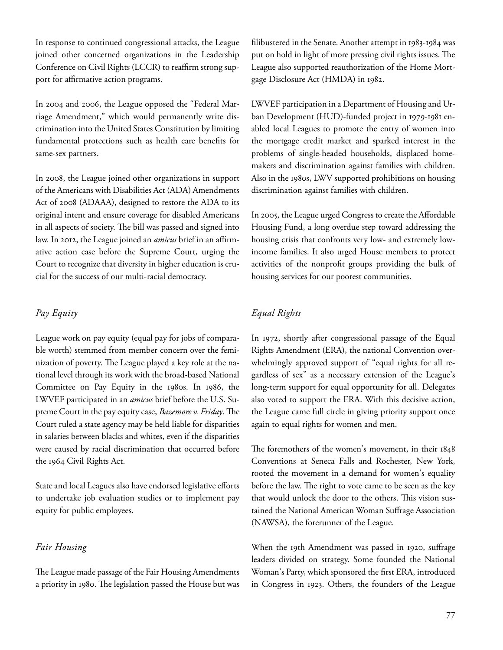In response to continued congressional attacks, the League joined other concerned organizations in the Leadership Conference on Civil Rights (LCCR) to reaffirm strong support for affirmative action programs.

In 2004 and 2006, the League opposed the "Federal Marriage Amendment," which would permanently write discrimination into the United States Constitution by limiting fundamental protections such as health care benefits for same-sex partners.

In 2008, the League joined other organizations in support of the Americans with Disabilities Act (ADA) Amendments Act of 2008 (ADAAA), designed to restore the ADA to its original intent and ensure coverage for disabled Americans in all aspects of society. The bill was passed and signed into law. In 2012, the League joined an *amicus* brief in an affirmative action case before the Supreme Court, urging the Court to recognize that diversity in higher education is crucial for the success of our multi-racial democracy.

# Pay Equity

League work on pay equity (equal pay for jobs of comparable worth) stemmed from member concern over the feminization of poverty. The League played a key role at the national level through its work with the broad-based National Committee on Pay Equity in the 1980s. In 1986, the LWVEF participated in an amicus brief before the U.S. Supreme Court in the pay equity case, Bazemore v. Friday. The Court ruled a state agency may be held liable for disparities in salaries between blacks and whites, even if the disparities were caused by racial discrimination that occurred before the 1964 Civil Rights Act.

State and local Leagues also have endorsed legislative efforts to undertake job evaluation studies or to implement pay equity for public employees.

# Fair Housing

The League made passage of the Fair Housing Amendments a priority in 1980. The legislation passed the House but was filibustered in the Senate. Another attempt in 1983-1984 was put on hold in light of more pressing civil rights issues. The League also supported reauthorization of the Home Mortgage Disclosure Act (HMDA) in 1982.

LWVEF participation in a Department of Housing and Urban Development (HUD)-funded project in 1979-1981 enabled local Leagues to promote the entry of women into the mortgage credit market and sparked interest in the problems of single-headed households, displaced homemakers and discrimination against families with children. Also in the 1980s, LWV supported prohibitions on housing discrimination against families with children.

In 2005, the League urged Congress to create the Affordable Housing Fund, a long overdue step toward addressing the housing crisis that confronts very low- and extremely lowincome families. It also urged House members to protect activities of the nonprofit groups providing the bulk of housing services for our poorest communities.

# Equal Rights

In 1972, shortly after congressional passage of the Equal Rights Amendment (ERA), the national Convention overwhelmingly approved support of "equal rights for all regardless of sex" as a necessary extension of the League's long-term support for equal opportunity for all. Delegates also voted to support the ERA. With this decisive action, the League came full circle in giving priority support once again to equal rights for women and men.

The foremothers of the women's movement, in their 1848 Conventions at Seneca Falls and Rochester, New York, rooted the movement in a demand for women's equality before the law. The right to vote came to be seen as the key that would unlock the door to the others. This vision sustained the National American Woman Suffrage Association (NAWSA), the forerunner of the League.

When the 19th Amendment was passed in 1920, suffrage leaders divided on strategy. Some founded the National Woman's Party, which sponsored the first ERA, introduced in Congress in 1923. Others, the founders of the League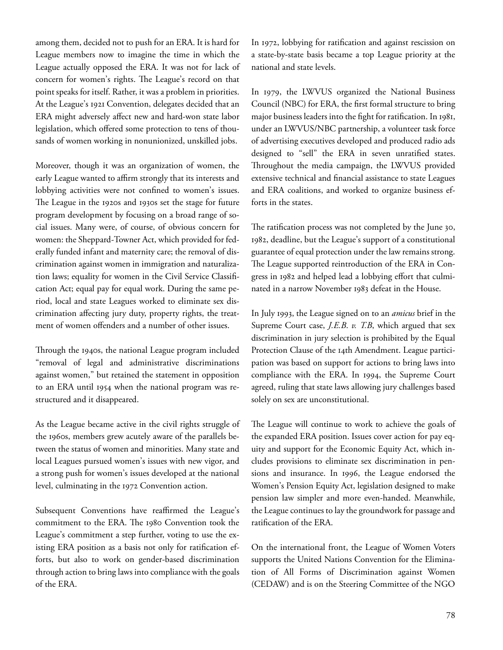among them, decided not to push for an ERA. It is hard for League members now to imagine the time in which the League actually opposed the ERA. It was not for lack of concern for women's rights. The League's record on that point speaks for itself. Rather, it was a problem in priorities. At the League's 1921 Convention, delegates decided that an ERA might adversely affect new and hard-won state labor legislation, which offered some protection to tens of thousands of women working in nonunionized, unskilled jobs.

Moreover, though it was an organization of women, the early League wanted to affirm strongly that its interests and lobbying activities were not confined to women's issues. The League in the 1920s and 1930s set the stage for future program development by focusing on a broad range of social issues. Many were, of course, of obvious concern for women: the Sheppard-Towner Act, which provided for federally funded infant and maternity care; the removal of discrimination against women in immigration and naturalization laws; equality for women in the Civil Service Classification Act; equal pay for equal work. During the same period, local and state Leagues worked to eliminate sex discrimination affecting jury duty, property rights, the treatment of women offenders and a number of other issues.

Through the 1940s, the national League program included "removal of legal and administrative discriminations against women," but retained the statement in opposition to an ERA until 1954 when the national program was restructured and it disappeared.

As the League became active in the civil rights struggle of the 1960s, members grew acutely aware of the parallels between the status of women and minorities. Many state and local Leagues pursued women's issues with new vigor, and a strong push for women's issues developed at the national level, culminating in the 1972 Convention action.

Subsequent Conventions have reaffirmed the League's commitment to the ERA. The 1980 Convention took the League's commitment a step further, voting to use the existing ERA position as a basis not only for ratification efforts, but also to work on gender-based discrimination through action to bring laws into compliance with the goals of the ERA.

In 1972, lobbying for ratification and against rescission on a state-by-state basis became a top League priority at the national and state levels.

In 1979, the LWVUS organized the National Business Council (NBC) for ERA, the first formal structure to bring major business leaders into the fight for ratification. In 1981, under an LWVUS/NBC partnership, a volunteer task force of advertising executives developed and produced radio ads designed to "sell" the ERA in seven unratified states. Throughout the media campaign, the LWVUS provided extensive technical and financial assistance to state Leagues and ERA coalitions, and worked to organize business efforts in the states.

The ratification process was not completed by the June 30, 1982, deadline, but the League's support of a constitutional guarantee of equal protection under the law remains strong. The League supported reintroduction of the ERA in Congress in 1982 and helped lead a lobbying effort that culminated in a narrow November 1983 defeat in the House.

In July 1993, the League signed on to an *amicus* brief in the Supreme Court case, *J.E.B. v. T.B*, which argued that sex discrimination in jury selection is prohibited by the Equal Protection Clause of the 14th Amendment. League participation was based on support for actions to bring laws into compliance with the ERA. In 1994, the Supreme Court agreed, ruling that state laws allowing jury challenges based solely on sex are unconstitutional.

The League will continue to work to achieve the goals of the expanded ERA position. Issues cover action for pay equity and support for the Economic Equity Act, which includes provisions to eliminate sex discrimination in pensions and insurance. In 1996, the League endorsed the Women's Pension Equity Act, legislation designed to make pension law simpler and more even-handed. Meanwhile, the League continues to lay the groundwork for passage and ratification of the ERA.

On the international front, the League of Women Voters supports the United Nations Convention for the Elimination of All Forms of Discrimination against Women (CEDAW) and is on the Steering Committee of the NGO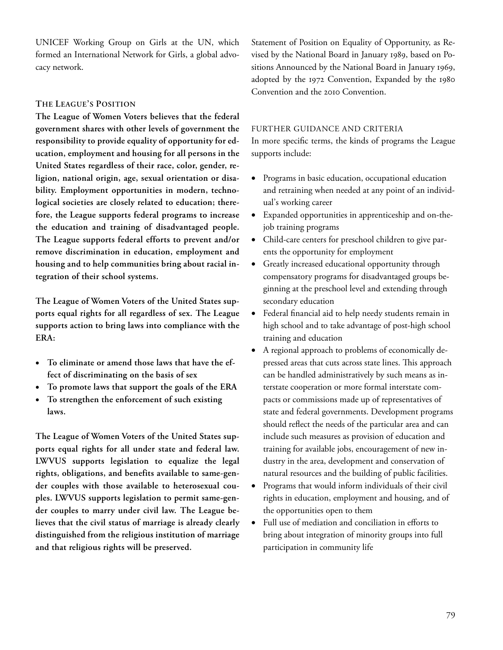UNICEF Working Group on Girls at the UN, which formed an International Network for Girls, a global advocacy network.

# THE LEAGUE'S POSITION

The League of Women Voters believes that the federal government shares with other levels of government the responsibility to provide equality of opportunity for education, employment and housing for all persons in the United States regardless of their race, color, gender, religion, national origin, age, sexual orientation or disability. Employment opportunities in modern, technological societies are closely related to education; therefore, the League supports federal programs to increase the education and training of disadvantaged people. The League supports federal efforts to prevent and/or remove discrimination in education, employment and housing and to help communities bring about racial integration of their school systems.

The League of Women Voters of the United States supports equal rights for all regardless of sex. The League supports action to bring laws into compliance with the ERA:

- To eliminate or amend those laws that have the effect of discriminating on the basis of sex
- To promote laws that support the goals of the ERA
- To strengthen the enforcement of such existing laws.

The League of Women Voters of the United States supports equal rights for all under state and federal law. LWVUS supports legislation to equalize the legal rights, obligations, and benefits available to same-gender couples with those available to heterosexual couples. LWVUS supports legislation to permit same-gender couples to marry under civil law. The League believes that the civil status of marriage is already clearly distinguished from the religious institution of marriage and that religious rights will be preserved.

Statement of Position on Equality of Opportunity, as Revised by the National Board in January 1989, based on Positions Announced by the National Board in January 1969, adopted by the 1972 Convention, Expanded by the 1980 Convention and the 2010 Convention.

### FURTHER GUIDANCE AND CRITERIA

In more specific terms, the kinds of programs the League supports include:

- Programs in basic education, occupational education and retraining when needed at any point of an individual's working career
- Expanded opportunities in apprenticeship and on-thejob training programs
- Child-care centers for preschool children to give parents the opportunity for employment
- Greatly increased educational opportunity through compensatory programs for disadvantaged groups beginning at the preschool level and extending through secondary education
- Federal financial aid to help needy students remain in high school and to take advantage of post-high school training and education
- A regional approach to problems of economically depressed areas that cuts across state lines. This approach can be handled administratively by such means as interstate cooperation or more formal interstate compacts or commissions made up of representatives of state and federal governments. Development programs should reflect the needs of the particular area and can include such measures as provision of education and training for available jobs, encouragement of new industry in the area, development and conservation of natural resources and the building of public facilities.
- Programs that would inform individuals of their civil rights in education, employment and housing, and of the opportunities open to them
- Full use of mediation and conciliation in efforts to bring about integration of minority groups into full participation in community life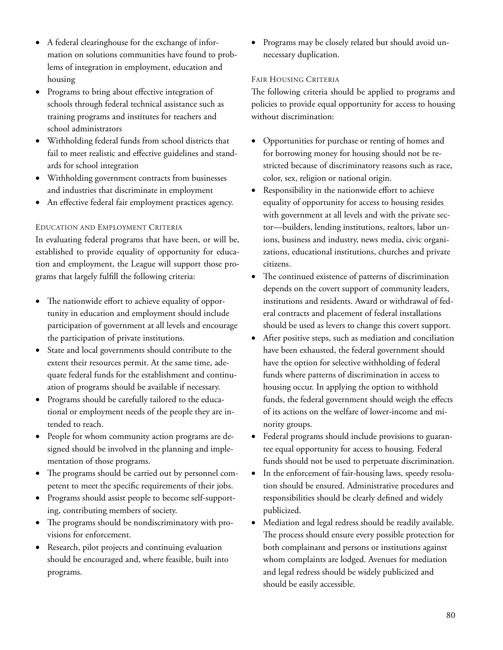- A federal clearinghouse for the exchange of information on solutions communities have found to problems of integration in employment, education and housing
- Programs to bring about effective integration of schools through federal technical assistance such as training programs and institutes for teachers and school administrators
- Withholding federal funds from school districts that fail to meet realistic and effective guidelines and standards for school integration
- Withholding government contracts from businesses and industries that discriminate in employment
- An effective federal fair employment practices agency.

# EDUCATION AND EMPLOYMENT CRITERIA

In evaluating federal programs that have been, or will be, established to provide equality of opportunity for education and employment, the League will support those programs that largely fulfill the following criteria:

- The nationwide effort to achieve equality of opportunity in education and employment should include participation of government at all levels and encourage the participation of private institutions.
- State and local governments should contribute to the extent their resources permit. At the same time, adequate federal funds for the establishment and continuation of programs should be available if necessary.
- Programs should be carefully tailored to the educational or employment needs of the people they are intended to reach.
- People for whom community action programs are designed should be involved in the planning and implementation of those programs.
- The programs should be carried out by personnel competent to meet the specific requirements of their jobs.
- Programs should assist people to become self-supporting, contributing members of society.
- The programs should be nondiscriminatory with provisions for enforcement.
- Research, pilot projects and continuing evaluation should be encouraged and, where feasible, built into programs.

 Programs may be closely related but should avoid unnecessary duplication.

# FAIR HOUSING CRITERIA

The following criteria should be applied to programs and policies to provide equal opportunity for access to housing without discrimination:

- Opportunities for purchase or renting of homes and for borrowing money for housing should not be restricted because of discriminatory reasons such as race, color, sex, religion or national origin.
- Responsibility in the nationwide effort to achieve equality of opportunity for access to housing resides with government at all levels and with the private sector—builders, lending institutions, realtors, labor unions, business and industry, news media, civic organizations, educational institutions, churches and private citizens.
- e continued existence of patterns of discrimination depends on the covert support of community leaders, institutions and residents. Award or withdrawal of federal contracts and placement of federal installations should be used as levers to change this covert support.
- After positive steps, such as mediation and conciliation have been exhausted, the federal government should have the option for selective withholding of federal funds where patterns of discrimination in access to housing occur. In applying the option to withhold funds, the federal government should weigh the effects of its actions on the welfare of lower-income and minority groups.
- Federal programs should include provisions to guarantee equal opportunity for access to housing. Federal funds should not be used to perpetuate discrimination.
- In the enforcement of fair-housing laws, speedy resolution should be ensured. Administrative procedures and responsibilities should be clearly defined and widely publicized.
- Mediation and legal redress should be readily available. The process should ensure every possible protection for both complainant and persons or institutions against whom complaints are lodged. Avenues for mediation and legal redress should be widely publicized and should be easily accessible.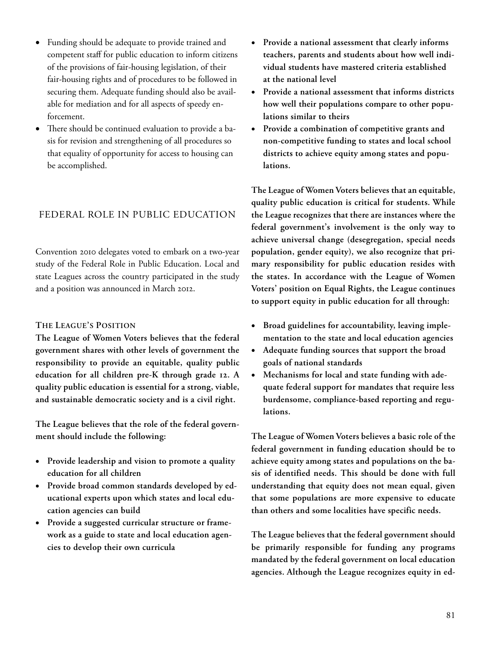- Funding should be adequate to provide trained and competent staff for public education to inform citizens of the provisions of fair-housing legislation, of their fair-housing rights and of procedures to be followed in securing them. Adequate funding should also be available for mediation and for all aspects of speedy enforcement.
- There should be continued evaluation to provide a basis for revision and strengthening of all procedures so that equality of opportunity for access to housing can be accomplished.

# FEDERAL ROLE IN PUBLIC EDUCATION

Convention 2010 delegates voted to embark on a two-year study of the Federal Role in Public Education. Local and state Leagues across the country participated in the study and a position was announced in March 2012.

#### THE LEAGUE'S POSITION

The League of Women Voters believes that the federal government shares with other levels of government the responsibility to provide an equitable, quality public education for all children pre-K through grade 12. A quality public education is essential for a strong, viable, and sustainable democratic society and is a civil right.

The League believes that the role of the federal government should include the following:

- Provide leadership and vision to promote a quality education for all children
- Provide broad common standards developed by educational experts upon which states and local education agencies can build
- Provide a suggested curricular structure or framework as a guide to state and local education agencies to develop their own curricula
- Provide a national assessment that clearly informs teachers, parents and students about how well individual students have mastered criteria established at the national level
- Provide a national assessment that informs districts how well their populations compare to other populations similar to theirs
- Provide a combination of competitive grants and non-competitive funding to states and local school districts to achieve equity among states and populations.

The League of Women Voters believes that an equitable, quality public education is critical for students. While the League recognizes that there are instances where the federal government's involvement is the only way to achieve universal change (desegregation, special needs population, gender equity), we also recognize that primary responsibility for public education resides with the states. In accordance with the League of Women Voters' position on Equal Rights, the League continues to support equity in public education for all through:

- Broad guidelines for accountability, leaving implementation to the state and local education agencies
- Adequate funding sources that support the broad goals of national standards
- Mechanisms for local and state funding with adequate federal support for mandates that require less burdensome, compliance-based reporting and regulations.

The League of Women Voters believes a basic role of the federal government in funding education should be to achieve equity among states and populations on the basis of identified needs. This should be done with full understanding that equity does not mean equal, given that some populations are more expensive to educate than others and some localities have specific needs.

The League believes that the federal government should be primarily responsible for funding any programs mandated by the federal government on local education agencies. Although the League recognizes equity in ed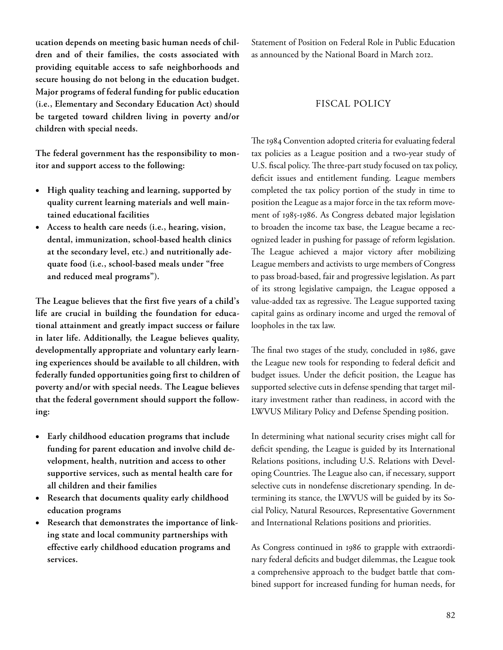ucation depends on meeting basic human needs of children and of their families, the costs associated with providing equitable access to safe neighborhoods and secure housing do not belong in the education budget. Major programs of federal funding for public education (i.e., Elementary and Secondary Education Act) should be targeted toward children living in poverty and/or children with special needs.

The federal government has the responsibility to monitor and support access to the following:

- High quality teaching and learning, supported by quality current learning materials and well maintained educational facilities
- Access to health care needs (i.e., hearing, vision, dental, immunization, school-based health clinics at the secondary level, etc.) and nutritionally adequate food (i.e., school-based meals under "free and reduced meal programs").

The League believes that the first five years of a child's life are crucial in building the foundation for educational attainment and greatly impact success or failure in later life. Additionally, the League believes quality, developmentally appropriate and voluntary early learning experiences should be available to all children, with federally funded opportunities going first to children of poverty and/or with special needs. The League believes that the federal government should support the following:

- Early childhood education programs that include funding for parent education and involve child development, health, nutrition and access to other supportive services, such as mental health care for all children and their families
- Research that documents quality early childhood education programs
- Research that demonstrates the importance of linking state and local community partnerships with effective early childhood education programs and services.

Statement of Position on Federal Role in Public Education as announced by the National Board in March 2012.

# FISCAL POLICY

The 1984 Convention adopted criteria for evaluating federal tax policies as a League position and a two-year study of U.S. fiscal policy. The three-part study focused on tax policy, deficit issues and entitlement funding. League members completed the tax policy portion of the study in time to position the League as a major force in the tax reform movement of 1985-1986. As Congress debated major legislation to broaden the income tax base, the League became a recognized leader in pushing for passage of reform legislation. The League achieved a major victory after mobilizing League members and activists to urge members of Congress to pass broad-based, fair and progressive legislation. As part of its strong legislative campaign, the League opposed a value-added tax as regressive. The League supported taxing capital gains as ordinary income and urged the removal of loopholes in the tax law.

The final two stages of the study, concluded in 1986, gave the League new tools for responding to federal deficit and budget issues. Under the deficit position, the League has supported selective cuts in defense spending that target military investment rather than readiness, in accord with the LWVUS Military Policy and Defense Spending position.

In determining what national security crises might call for deficit spending, the League is guided by its International Relations positions, including U.S. Relations with Developing Countries. The League also can, if necessary, support selective cuts in nondefense discretionary spending. In determining its stance, the LWVUS will be guided by its Social Policy, Natural Resources, Representative Government and International Relations positions and priorities.

As Congress continued in 1986 to grapple with extraordinary federal deficits and budget dilemmas, the League took a comprehensive approach to the budget battle that combined support for increased funding for human needs, for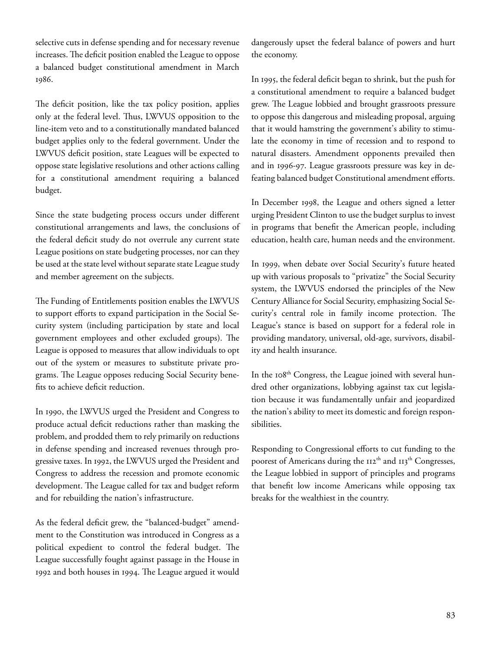selective cuts in defense spending and for necessary revenue increases. The deficit position enabled the League to oppose a balanced budget constitutional amendment in March 1986.

The deficit position, like the tax policy position, applies only at the federal level. Thus, LWVUS opposition to the line-item veto and to a constitutionally mandated balanced budget applies only to the federal government. Under the LWVUS deficit position, state Leagues will be expected to oppose state legislative resolutions and other actions calling for a constitutional amendment requiring a balanced budget.

Since the state budgeting process occurs under different constitutional arrangements and laws, the conclusions of the federal deficit study do not overrule any current state League positions on state budgeting processes, nor can they be used at the state level without separate state League study and member agreement on the subjects.

The Funding of Entitlements position enables the LWVUS to support efforts to expand participation in the Social Security system (including participation by state and local government employees and other excluded groups). The League is opposed to measures that allow individuals to opt out of the system or measures to substitute private programs. The League opposes reducing Social Security benefits to achieve deficit reduction.

In 1990, the LWVUS urged the President and Congress to produce actual deficit reductions rather than masking the problem, and prodded them to rely primarily on reductions in defense spending and increased revenues through progressive taxes. In 1992, the LWVUS urged the President and Congress to address the recession and promote economic development. The League called for tax and budget reform and for rebuilding the nation's infrastructure.

As the federal deficit grew, the "balanced-budget" amendment to the Constitution was introduced in Congress as a political expedient to control the federal budget. The League successfully fought against passage in the House in 1992 and both houses in 1994. The League argued it would

dangerously upset the federal balance of powers and hurt the economy.

In 1995, the federal deficit began to shrink, but the push for a constitutional amendment to require a balanced budget grew. The League lobbied and brought grassroots pressure to oppose this dangerous and misleading proposal, arguing that it would hamstring the government's ability to stimulate the economy in time of recession and to respond to natural disasters. Amendment opponents prevailed then and in 1996-97. League grassroots pressure was key in defeating balanced budget Constitutional amendment efforts.

In December 1998, the League and others signed a letter urging President Clinton to use the budget surplus to invest in programs that benefit the American people, including education, health care, human needs and the environment.

In 1999, when debate over Social Security's future heated up with various proposals to "privatize" the Social Security system, the LWVUS endorsed the principles of the New Century Alliance for Social Security, emphasizing Social Security's central role in family income protection. The League's stance is based on support for a federal role in providing mandatory, universal, old-age, survivors, disability and health insurance.

In the 108<sup>th</sup> Congress, the League joined with several hundred other organizations, lobbying against tax cut legislation because it was fundamentally unfair and jeopardized the nation's ability to meet its domestic and foreign responsibilities.

Responding to Congressional efforts to cut funding to the poorest of Americans during the II2<sup>th</sup> and II3<sup>th</sup> Congresses, the League lobbied in support of principles and programs that benefit low income Americans while opposing tax breaks for the wealthiest in the country.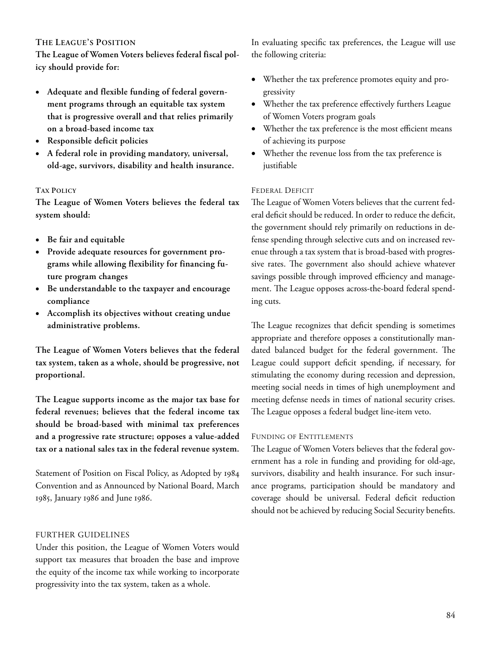# THE LEAGUE'S POSITION

The League of Women Voters believes federal fiscal policy should provide for:

- Adequate and flexible funding of federal government programs through an equitable tax system that is progressive overall and that relies primarily on a broad-based income tax
- Responsible deficit policies
- A federal role in providing mandatory, universal, old-age, survivors, disability and health insurance.

# TAX POLICY

The League of Women Voters believes the federal tax system should:

- Be fair and equitable
- Provide adequate resources for government programs while allowing flexibility for financing future program changes
- Be understandable to the taxpayer and encourage compliance
- Accomplish its objectives without creating undue administrative problems.

The League of Women Voters believes that the federal tax system, taken as a whole, should be progressive, not proportional.

The League supports income as the major tax base for federal revenues; believes that the federal income tax should be broad-based with minimal tax preferences and a progressive rate structure; opposes a value-added tax or a national sales tax in the federal revenue system.

Statement of Position on Fiscal Policy, as Adopted by Convention and as Announced by National Board, March 1985, January 1986 and June 1986.

# FURTHER GUIDELINES

Under this position, the League of Women Voters would support tax measures that broaden the base and improve the equity of the income tax while working to incorporate progressivity into the tax system, taken as a whole.

In evaluating specific tax preferences, the League will use the following criteria:

- Whether the tax preference promotes equity and progressivity
- Whether the tax preference effectively furthers League of Women Voters program goals
- Whether the tax preference is the most efficient means of achieving its purpose
- Whether the revenue loss from the tax preference is justifiable

#### FEDERAL DEFICIT

The League of Women Voters believes that the current federal deficit should be reduced. In order to reduce the deficit, the government should rely primarily on reductions in defense spending through selective cuts and on increased revenue through a tax system that is broad-based with progressive rates. The government also should achieve whatever savings possible through improved efficiency and management. The League opposes across-the-board federal spending cuts.

The League recognizes that deficit spending is sometimes appropriate and therefore opposes a constitutionally mandated balanced budget for the federal government. The League could support deficit spending, if necessary, for stimulating the economy during recession and depression, meeting social needs in times of high unemployment and meeting defense needs in times of national security crises. The League opposes a federal budget line-item veto.

### FUNDING OF ENTITLEMENTS

The League of Women Voters believes that the federal government has a role in funding and providing for old-age, survivors, disability and health insurance. For such insurance programs, participation should be mandatory and coverage should be universal. Federal deficit reduction should not be achieved by reducing Social Security benefits.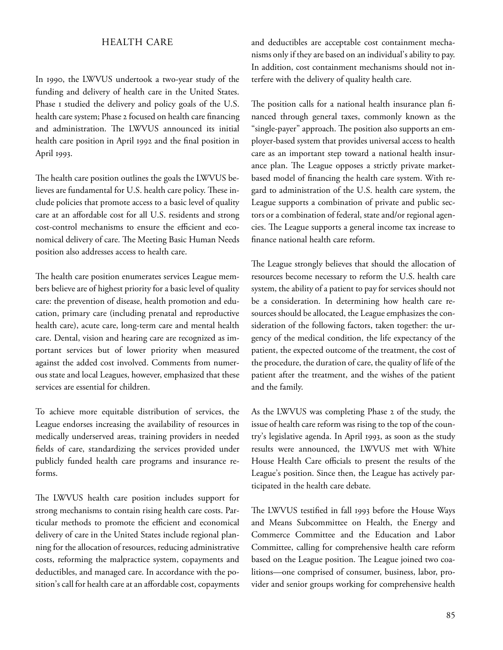# HEALTH CARE

In 1990, the LWVUS undertook a two-year study of the funding and delivery of health care in the United States. Phase I studied the delivery and policy goals of the U.S. health care system; Phase 2 focused on health care financing and administration. The LWVUS announced its initial health care position in April 1992 and the final position in April 1993.

The health care position outlines the goals the LWVUS believes are fundamental for U.S. health care policy. These include policies that promote access to a basic level of quality care at an affordable cost for all U.S. residents and strong cost-control mechanisms to ensure the efficient and economical delivery of care. The Meeting Basic Human Needs position also addresses access to health care.

The health care position enumerates services League members believe are of highest priority for a basic level of quality care: the prevention of disease, health promotion and education, primary care (including prenatal and reproductive health care), acute care, long-term care and mental health care. Dental, vision and hearing care are recognized as important services but of lower priority when measured against the added cost involved. Comments from numerous state and local Leagues, however, emphasized that these services are essential for children.

To achieve more equitable distribution of services, the League endorses increasing the availability of resources in medically underserved areas, training providers in needed fields of care, standardizing the services provided under publicly funded health care programs and insurance reforms.

The LWVUS health care position includes support for strong mechanisms to contain rising health care costs. Particular methods to promote the efficient and economical delivery of care in the United States include regional planning for the allocation of resources, reducing administrative costs, reforming the malpractice system, copayments and deductibles, and managed care. In accordance with the position's call for health care at an affordable cost, copayments

and deductibles are acceptable cost containment mechanisms only if they are based on an individual's ability to pay. In addition, cost containment mechanisms should not interfere with the delivery of quality health care.

The position calls for a national health insurance plan financed through general taxes, commonly known as the "single-payer" approach. The position also supports an employer-based system that provides universal access to health care as an important step toward a national health insurance plan. The League opposes a strictly private marketbased model of financing the health care system. With regard to administration of the U.S. health care system, the League supports a combination of private and public sectors or a combination of federal, state and/or regional agencies. The League supports a general income tax increase to finance national health care reform.

The League strongly believes that should the allocation of resources become necessary to reform the U.S. health care system, the ability of a patient to pay for services should not be a consideration. In determining how health care resources should be allocated, the League emphasizes the consideration of the following factors, taken together: the urgency of the medical condition, the life expectancy of the patient, the expected outcome of the treatment, the cost of the procedure, the duration of care, the quality of life of the patient after the treatment, and the wishes of the patient and the family.

As the LWVUS was completing Phase 2 of the study, the issue of health care reform was rising to the top of the country's legislative agenda. In April 1993, as soon as the study results were announced, the LWVUS met with White House Health Care officials to present the results of the League's position. Since then, the League has actively participated in the health care debate.

The LWVUS testified in fall 1993 before the House Ways and Means Subcommittee on Health, the Energy and Commerce Committee and the Education and Labor Committee, calling for comprehensive health care reform based on the League position. The League joined two coalitions—one comprised of consumer, business, labor, provider and senior groups working for comprehensive health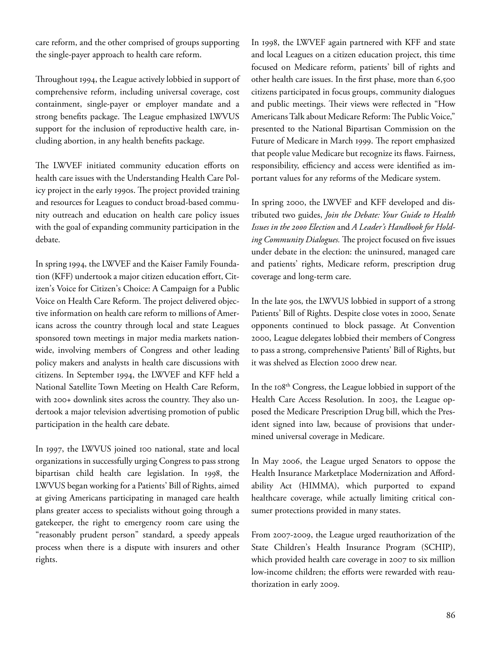care reform, and the other comprised of groups supporting the single-payer approach to health care reform.

Throughout 1994, the League actively lobbied in support of comprehensive reform, including universal coverage, cost containment, single-payer or employer mandate and a strong benefits package. The League emphasized LWVUS support for the inclusion of reproductive health care, including abortion, in any health benefits package.

The LWVEF initiated community education efforts on health care issues with the Understanding Health Care Policy project in the early 1990s. The project provided training and resources for Leagues to conduct broad-based community outreach and education on health care policy issues with the goal of expanding community participation in the debate.

In spring 1994, the LWVEF and the Kaiser Family Foundation (KFF) undertook a major citizen education effort, Citizen's Voice for Citizen's Choice: A Campaign for a Public Voice on Health Care Reform. The project delivered objective information on health care reform to millions of Americans across the country through local and state Leagues sponsored town meetings in major media markets nationwide, involving members of Congress and other leading policy makers and analysts in health care discussions with citizens. In September 1994, the LWVEF and KFF held a National Satellite Town Meeting on Health Care Reform, with 200+ downlink sites across the country. They also undertook a major television advertising promotion of public participation in the health care debate.

In 1997, the LWVUS joined 100 national, state and local organizations in successfully urging Congress to pass strong bipartisan child health care legislation. In 1998, the LWVUS began working for a Patients' Bill of Rights, aimed at giving Americans participating in managed care health plans greater access to specialists without going through a gatekeeper, the right to emergency room care using the "reasonably prudent person" standard, a speedy appeals process when there is a dispute with insurers and other rights.

In 1998, the LWVEF again partnered with KFF and state and local Leagues on a citizen education project, this time focused on Medicare reform, patients' bill of rights and other health care issues. In the first phase, more than 6,500 citizens participated in focus groups, community dialogues and public meetings. Their views were reflected in "How Americans Talk about Medicare Reform: The Public Voice," presented to the National Bipartisan Commission on the Future of Medicare in March 1999. The report emphasized that people value Medicare but recognize its flaws. Fairness, responsibility, efficiency and access were identified as important values for any reforms of the Medicare system.

In spring 2000, the LWVEF and KFF developed and distributed two guides, Join the Debate: Your Guide to Health Issues in the 2000 Election and A Leader's Handbook for Holding Community Dialogues. The project focused on five issues under debate in the election: the uninsured, managed care and patients' rights, Medicare reform, prescription drug coverage and long-term care.

In the late 90s, the LWVUS lobbied in support of a strong Patients' Bill of Rights. Despite close votes in 2000, Senate opponents continued to block passage. At Convention , League delegates lobbied their members of Congress to pass a strong, comprehensive Patients' Bill of Rights, but it was shelved as Election 2000 drew near.

In the 108<sup>th</sup> Congress, the League lobbied in support of the Health Care Access Resolution. In 2003, the League opposed the Medicare Prescription Drug bill, which the President signed into law, because of provisions that undermined universal coverage in Medicare.

In May 2006, the League urged Senators to oppose the Health Insurance Marketplace Modernization and Affordability Act (HIMMA), which purported to expand healthcare coverage, while actually limiting critical consumer protections provided in many states.

From 2007-2009, the League urged reauthorization of the State Children's Health Insurance Program (SCHIP), which provided health care coverage in 2007 to six million low-income children; the efforts were rewarded with reauthorization in early 2009.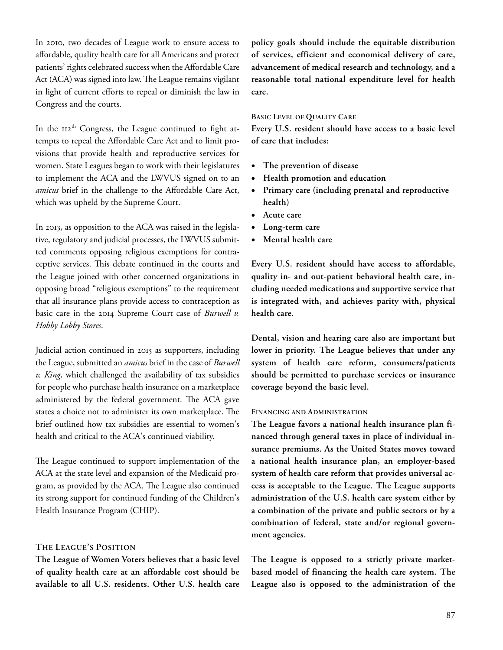In 2010, two decades of League work to ensure access to affordable, quality health care for all Americans and protect patients' rights celebrated success when the Affordable Care Act (ACA) was signed into law. The League remains vigilant in light of current efforts to repeal or diminish the law in Congress and the courts.

In the  $\text{II2}^{\text{th}}$  Congress, the League continued to fight attempts to repeal the Affordable Care Act and to limit provisions that provide health and reproductive services for women. State Leagues began to work with their legislatures to implement the ACA and the LWVUS signed on to an amicus brief in the challenge to the Affordable Care Act, which was upheld by the Supreme Court.

In 2013, as opposition to the ACA was raised in the legislative, regulatory and judicial processes, the LWVUS submitted comments opposing religious exemptions for contraceptive services. This debate continued in the courts and the League joined with other concerned organizations in opposing broad "religious exemptions" to the requirement that all insurance plans provide access to contraception as basic care in the 2014 Supreme Court case of Burwell v. Hobby Lobby Stores.

Judicial action continued in 2015 as supporters, including the League, submitted an *amicus* brief in the case of *Burwell*  $v.$  King, which challenged the availability of tax subsidies for people who purchase health insurance on a marketplace administered by the federal government. The ACA gave states a choice not to administer its own marketplace. The brief outlined how tax subsidies are essential to women's health and critical to the ACA's continued viability.

The League continued to support implementation of the ACA at the state level and expansion of the Medicaid program, as provided by the ACA. The League also continued its strong support for continued funding of the Children's Health Insurance Program (CHIP).

#### THE LEAGUE'S POSITION

The League of Women Voters believes that a basic level of quality health care at an affordable cost should be available to all U.S. residents. Other U.S. health care

policy goals should include the equitable distribution of services, efficient and economical delivery of care, advancement of medical research and technology, and a reasonable total national expenditure level for health care.

#### BASIC LEVEL OF QUALITY CARE

Every U.S. resident should have access to a basic level of care that includes:

- The prevention of disease
- Health promotion and education
- Primary care (including prenatal and reproductive health)
- Acute care
- Long-term care
- Mental health care

Every U.S. resident should have access to affordable, quality in- and out-patient behavioral health care, including needed medications and supportive service that is integrated with, and achieves parity with, physical health care.

Dental, vision and hearing care also are important but lower in priority. The League believes that under any system of health care reform, consumers/patients should be permitted to purchase services or insurance coverage beyond the basic level.

### FINANCING AND ADMINISTRATION

The League favors a national health insurance plan financed through general taxes in place of individual insurance premiums. As the United States moves toward a national health insurance plan, an employer-based system of health care reform that provides universal access is acceptable to the League. The League supports administration of the U.S. health care system either by a combination of the private and public sectors or by a combination of federal, state and/or regional government agencies.

The League is opposed to a strictly private marketbased model of financing the health care system. The League also is opposed to the administration of the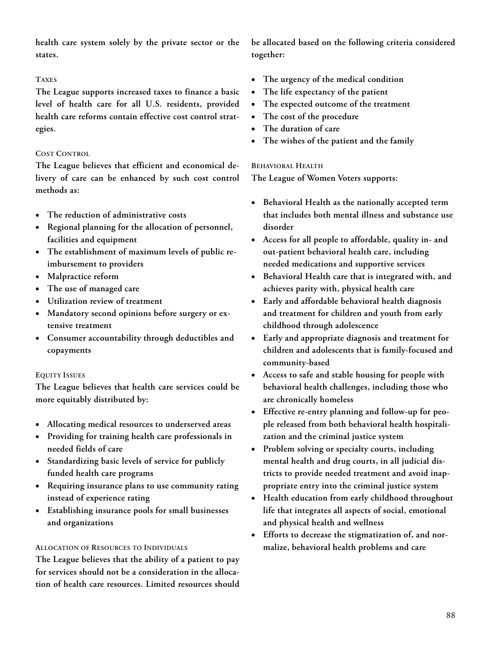health care system solely by the private sector or the states.

### TAXES

The League supports increased taxes to finance a basic level of health care for all U.S. residents, provided health care reforms contain effective cost control strategies.

### COST CONTROL

The League believes that efficient and economical delivery of care can be enhanced by such cost control methods as:

- The reduction of administrative costs
- Regional planning for the allocation of personnel, facilities and equipment
- The establishment of maximum levels of public reimbursement to providers
- Malpractice reform
- The use of managed care
- Utilization review of treatment
- Mandatory second opinions before surgery or extensive treatment
- Consumer accountability through deductibles and copayments

# EQUITY ISSUES

The League believes that health care services could be more equitably distributed by:

- Allocating medical resources to underserved areas
- Providing for training health care professionals in needed fields of care
- Standardizing basic levels of service for publicly funded health care programs
- Requiring insurance plans to use community rating instead of experience rating
- Establishing insurance pools for small businesses and organizations

# ALLOCATION OF RESOURCES TO INDIVIDUALS

The League believes that the ability of a patient to pay for services should not be a consideration in the allocation of health care resources. Limited resources should be allocated based on the following criteria considered together:

- The urgency of the medical condition
- The life expectancy of the patient
- The expected outcome of the treatment
- The cost of the procedure
- The duration of care
- The wishes of the patient and the family

## BEHAVIORAL HEALTH

The League of Women Voters supports:

- Behavioral Health as the nationally accepted term that includes both mental illness and substance use disorder
- Access for all people to affordable, quality in- and out-patient behavioral health care, including needed medications and supportive services
- Behavioral Health care that is integrated with, and achieves parity with, physical health care
- Early and affordable behavioral health diagnosis and treatment for children and youth from early childhood through adolescence
- Early and appropriate diagnosis and treatment for children and adolescents that is family-focused and community-based
- Access to safe and stable housing for people with behavioral health challenges, including those who are chronically homeless
- Effective re-entry planning and follow-up for people released from both behavioral health hospitalization and the criminal justice system
- Problem solving or specialty courts, including mental health and drug courts, in all judicial districts to provide needed treatment and avoid inappropriate entry into the criminal justice system
- Health education from early childhood throughout life that integrates all aspects of social, emotional and physical health and wellness
- Efforts to decrease the stigmatization of, and normalize, behavioral health problems and care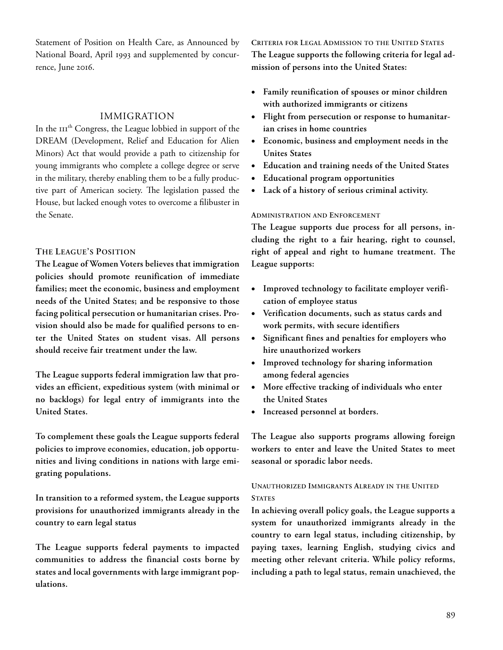Statement of Position on Health Care, as Announced by National Board, April 1993 and supplemented by concurrence, June 2016.

### IMMIGRATION

In the III<sup>th</sup> Congress, the League lobbied in support of the DREAM (Development, Relief and Education for Alien Minors) Act that would provide a path to citizenship for young immigrants who complete a college degree or serve in the military, thereby enabling them to be a fully productive part of American society. The legislation passed the House, but lacked enough votes to overcome a filibuster in the Senate.

### THE LEAGUE'S POSITION

The League of Women Voters believes that immigration policies should promote reunification of immediate families; meet the economic, business and employment needs of the United States; and be responsive to those facing political persecution or humanitarian crises. Provision should also be made for qualified persons to enter the United States on student visas. All persons should receive fair treatment under the law.

The League supports federal immigration law that provides an efficient, expeditious system (with minimal or no backlogs) for legal entry of immigrants into the United States.

To complement these goals the League supports federal policies to improve economies, education, job opportunities and living conditions in nations with large emigrating populations.

In transition to a reformed system, the League supports provisions for unauthorized immigrants already in the country to earn legal status

The League supports federal payments to impacted communities to address the financial costs borne by states and local governments with large immigrant populations.

CRITERIA FOR LEGAL ADMISSION TO THE UNITED STATES The League supports the following criteria for legal admission of persons into the United States:

- Family reunification of spouses or minor children with authorized immigrants or citizens
- Flight from persecution or response to humanitarian crises in home countries
- Economic, business and employment needs in the Unites States
- Education and training needs of the United States
- Educational program opportunities
- Lack of a history of serious criminal activity.

#### ADMINISTRATION AND ENFORCEMENT

The League supports due process for all persons, including the right to a fair hearing, right to counsel, right of appeal and right to humane treatment. The League supports:

- Improved technology to facilitate employer verification of employee status
- Verification documents, such as status cards and work permits, with secure identifiers
- Significant fines and penalties for employers who hire unauthorized workers
- Improved technology for sharing information among federal agencies
- More effective tracking of individuals who enter the United States
- Increased personnel at borders.

The League also supports programs allowing foreign workers to enter and leave the United States to meet seasonal or sporadic labor needs.

# UNAUTHORIZED IMMIGRANTS ALREADY IN THE UNITED **STATES**

In achieving overall policy goals, the League supports a system for unauthorized immigrants already in the country to earn legal status, including citizenship, by paying taxes, learning English, studying civics and meeting other relevant criteria. While policy reforms, including a path to legal status, remain unachieved, the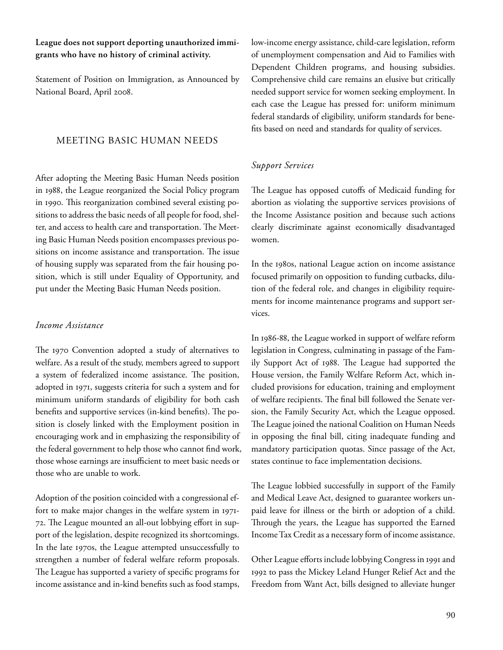# League does not support deporting unauthorized immigrants who have no history of criminal activity.

Statement of Position on Immigration, as Announced by National Board, April 2008.

# MEETING BASIC HUMAN NEEDS

After adopting the Meeting Basic Human Needs position in 1988, the League reorganized the Social Policy program in 1990. This reorganization combined several existing positions to address the basic needs of all people for food, shelter, and access to health care and transportation. The Meeting Basic Human Needs position encompasses previous positions on income assistance and transportation. The issue of housing supply was separated from the fair housing position, which is still under Equality of Opportunity, and put under the Meeting Basic Human Needs position.

### Income Assistance

The 1970 Convention adopted a study of alternatives to welfare. As a result of the study, members agreed to support a system of federalized income assistance. The position, adopted in 1971, suggests criteria for such a system and for minimum uniform standards of eligibility for both cash benefits and supportive services (in-kind benefits). The position is closely linked with the Employment position in encouraging work and in emphasizing the responsibility of the federal government to help those who cannot find work, those whose earnings are insufficient to meet basic needs or those who are unable to work.

Adoption of the position coincided with a congressional effort to make major changes in the welfare system in 1971-72. The League mounted an all-out lobbying effort in support of the legislation, despite recognized its shortcomings. In the late 1970s, the League attempted unsuccessfully to strengthen a number of federal welfare reform proposals. The League has supported a variety of specific programs for income assistance and in-kind benefits such as food stamps,

low-income energy assistance, child-care legislation, reform of unemployment compensation and Aid to Families with Dependent Children programs, and housing subsidies. Comprehensive child care remains an elusive but critically needed support service for women seeking employment. In each case the League has pressed for: uniform minimum federal standards of eligibility, uniform standards for benefits based on need and standards for quality of services.

# Support Services

The League has opposed cutoffs of Medicaid funding for abortion as violating the supportive services provisions of the Income Assistance position and because such actions clearly discriminate against economically disadvantaged women.

In the 1980s, national League action on income assistance focused primarily on opposition to funding cutbacks, dilution of the federal role, and changes in eligibility requirements for income maintenance programs and support services.

In 1986-88, the League worked in support of welfare reform legislation in Congress, culminating in passage of the Family Support Act of 1988. The League had supported the House version, the Family Welfare Reform Act, which included provisions for education, training and employment of welfare recipients. The final bill followed the Senate version, the Family Security Act, which the League opposed. The League joined the national Coalition on Human Needs in opposing the final bill, citing inadequate funding and mandatory participation quotas. Since passage of the Act, states continue to face implementation decisions.

The League lobbied successfully in support of the Family and Medical Leave Act, designed to guarantee workers unpaid leave for illness or the birth or adoption of a child. Through the years, the League has supported the Earned Income Tax Credit as a necessary form of income assistance.

Other League efforts include lobbying Congress in 1991 and 1992 to pass the Mickey Leland Hunger Relief Act and the Freedom from Want Act, bills designed to alleviate hunger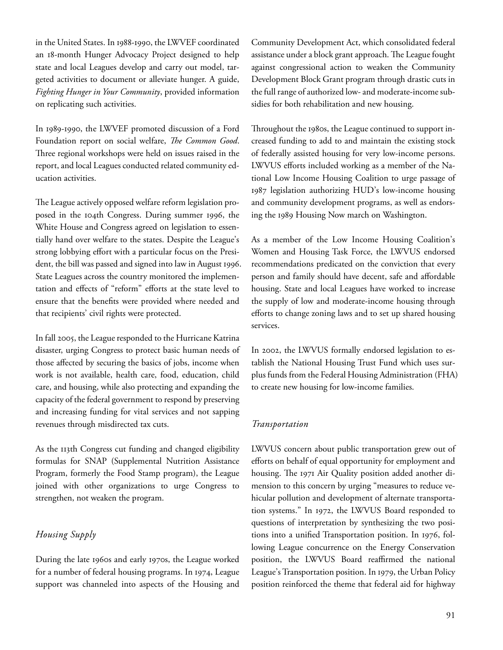in the United States. In 1988-1990, the LWVEF coordinated an 18-month Hunger Advocacy Project designed to help state and local Leagues develop and carry out model, targeted activities to document or alleviate hunger. A guide, Fighting Hunger in Your Community, provided information on replicating such activities.

In 1989-1990, the LWVEF promoted discussion of a Ford Foundation report on social welfare, The Common Good. Three regional workshops were held on issues raised in the report, and local Leagues conducted related community education activities.

The League actively opposed welfare reform legislation proposed in the 104th Congress. During summer 1996, the White House and Congress agreed on legislation to essentially hand over welfare to the states. Despite the League's strong lobbying effort with a particular focus on the President, the bill was passed and signed into law in August 1996. State Leagues across the country monitored the implementation and effects of "reform" efforts at the state level to ensure that the benefits were provided where needed and that recipients' civil rights were protected.

In fall 2005, the League responded to the Hurricane Katrina disaster, urging Congress to protect basic human needs of those affected by securing the basics of jobs, income when work is not available, health care, food, education, child care, and housing, while also protecting and expanding the capacity of the federal government to respond by preserving and increasing funding for vital services and not sapping revenues through misdirected tax cuts.

As the 113th Congress cut funding and changed eligibility formulas for SNAP (Supplemental Nutrition Assistance Program, formerly the Food Stamp program), the League joined with other organizations to urge Congress to strengthen, not weaken the program.

# Housing Supply

During the late 1960s and early 1970s, the League worked for a number of federal housing programs. In 1974, League support was channeled into aspects of the Housing and Community Development Act, which consolidated federal assistance under a block grant approach. The League fought against congressional action to weaken the Community Development Block Grant program through drastic cuts in the full range of authorized low- and moderate-income subsidies for both rehabilitation and new housing.

Throughout the 1980s, the League continued to support increased funding to add to and maintain the existing stock of federally assisted housing for very low-income persons. LWVUS efforts included working as a member of the National Low Income Housing Coalition to urge passage of 1987 legislation authorizing HUD's low-income housing and community development programs, as well as endorsing the 1989 Housing Now march on Washington.

As a member of the Low Income Housing Coalition's Women and Housing Task Force, the LWVUS endorsed recommendations predicated on the conviction that every person and family should have decent, safe and affordable housing. State and local Leagues have worked to increase the supply of low and moderate-income housing through efforts to change zoning laws and to set up shared housing services.

In 2002, the LWVUS formally endorsed legislation to establish the National Housing Trust Fund which uses surplus funds from the Federal Housing Administration (FHA) to create new housing for low-income families.

# Transportation

LWVUS concern about public transportation grew out of efforts on behalf of equal opportunity for employment and housing. The 1971 Air Quality position added another dimension to this concern by urging "measures to reduce vehicular pollution and development of alternate transportation systems." In 1972, the LWVUS Board responded to questions of interpretation by synthesizing the two positions into a unified Transportation position. In 1976, following League concurrence on the Energy Conservation position, the LWVUS Board reaffirmed the national League's Transportation position. In 1979, the Urban Policy position reinforced the theme that federal aid for highway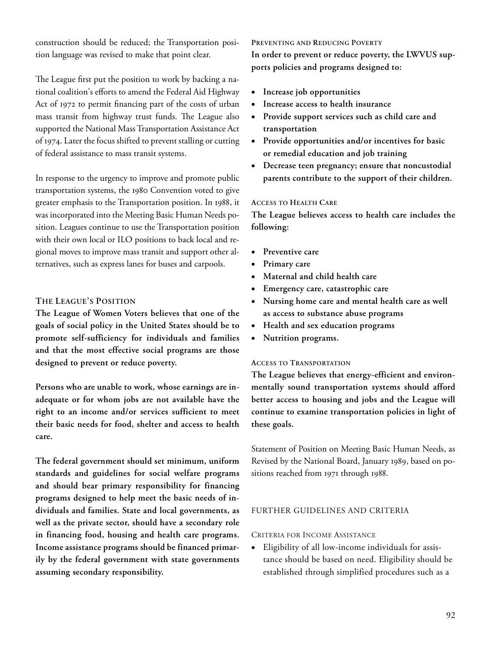construction should be reduced; the Transportation position language was revised to make that point clear.

The League first put the position to work by backing a national coalition's efforts to amend the Federal Aid Highway Act of 1972 to permit financing part of the costs of urban mass transit from highway trust funds. The League also supported the National Mass Transportation Assistance Act of 1974. Later the focus shifted to prevent stalling or cutting of federal assistance to mass transit systems.

In response to the urgency to improve and promote public transportation systems, the 1980 Convention voted to give greater emphasis to the Transportation position. In 1988, it was incorporated into the Meeting Basic Human Needs position. Leagues continue to use the Transportation position with their own local or ILO positions to back local and regional moves to improve mass transit and support other alternatives, such as express lanes for buses and carpools.

### THE LEAGUE'S POSITION

The League of Women Voters believes that one of the goals of social policy in the United States should be to promote self-sufficiency for individuals and families and that the most effective social programs are those designed to prevent or reduce poverty.

Persons who are unable to work, whose earnings are inadequate or for whom jobs are not available have the right to an income and/or services sufficient to meet their basic needs for food, shelter and access to health care.

The federal government should set minimum, uniform standards and guidelines for social welfare programs and should bear primary responsibility for financing programs designed to help meet the basic needs of individuals and families. State and local governments, as well as the private sector, should have a secondary role in financing food, housing and health care programs. Income assistance programs should be financed primarily by the federal government with state governments assuming secondary responsibility.

#### PREVENTING AND REDUCING POVERTY

In order to prevent or reduce poverty, the LWVUS supports policies and programs designed to:

- Increase job opportunities
- Increase access to health insurance
- Provide support services such as child care and transportation
- Provide opportunities and/or incentives for basic or remedial education and job training
- Decrease teen pregnancy; ensure that noncustodial parents contribute to the support of their children.

#### ACCESS TO HEALTH CARE

The League believes access to health care includes the following:

- Preventive care
- Primary care
- Maternal and child health care
- Emergency care, catastrophic care
- Nursing home care and mental health care as well as access to substance abuse programs
- Health and sex education programs
- Nutrition programs.

### ACCESS TO TRANSPORTATION

The League believes that energy-efficient and environmentally sound transportation systems should afford better access to housing and jobs and the League will continue to examine transportation policies in light of these goals.

Statement of Position on Meeting Basic Human Needs, as Revised by the National Board, January 1989, based on positions reached from 1971 through 1988.

## FURTHER GUIDELINES AND CRITERIA

#### CRITERIA FOR INCOME ASSISTANCE

 Eligibility of all low-income individuals for assistance should be based on need. Eligibility should be established through simplified procedures such as a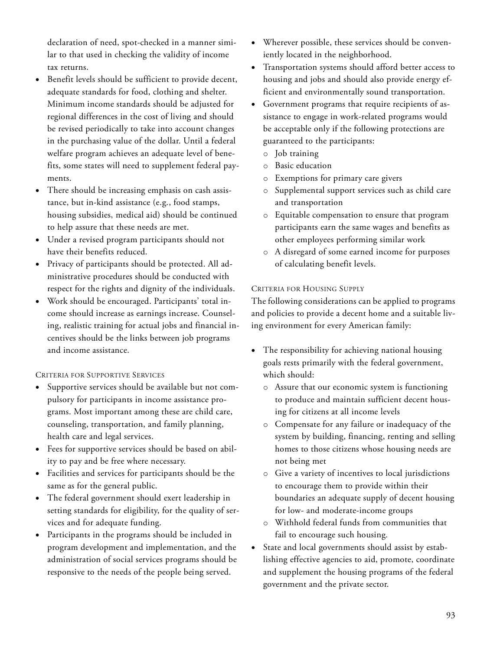declaration of need, spot-checked in a manner similar to that used in checking the validity of income tax returns.

- Benefit levels should be sufficient to provide decent, adequate standards for food, clothing and shelter. Minimum income standards should be adjusted for regional differences in the cost of living and should be revised periodically to take into account changes in the purchasing value of the dollar. Until a federal welfare program achieves an adequate level of benefits, some states will need to supplement federal payments.
- There should be increasing emphasis on cash assistance, but in-kind assistance (e.g., food stamps, housing subsidies, medical aid) should be continued to help assure that these needs are met.
- Under a revised program participants should not have their benefits reduced.
- Privacy of participants should be protected. All administrative procedures should be conducted with respect for the rights and dignity of the individuals.
- Work should be encouraged. Participants' total income should increase as earnings increase. Counseling, realistic training for actual jobs and financial incentives should be the links between job programs and income assistance.

# CRITERIA FOR SUPPORTIVE SERVICES

- Supportive services should be available but not compulsory for participants in income assistance programs. Most important among these are child care, counseling, transportation, and family planning, health care and legal services.
- Fees for supportive services should be based on ability to pay and be free where necessary.
- Facilities and services for participants should be the same as for the general public.
- The federal government should exert leadership in setting standards for eligibility, for the quality of services and for adequate funding.
- Participants in the programs should be included in program development and implementation, and the administration of social services programs should be responsive to the needs of the people being served.
- Wherever possible, these services should be conveniently located in the neighborhood.
- Transportation systems should afford better access to housing and jobs and should also provide energy efficient and environmentally sound transportation.
- Government programs that require recipients of assistance to engage in work-related programs would be acceptable only if the following protections are guaranteed to the participants:
	- o Job training
	- o Basic education
	- o Exemptions for primary care givers
	- Supplemental support services such as child care and transportation
	- o Equitable compensation to ensure that program participants earn the same wages and benefits as other employees performing similar work
	- o A disregard of some earned income for purposes of calculating benefit levels.

# CRITERIA FOR HOUSING SUPPLY

The following considerations can be applied to programs and policies to provide a decent home and a suitable living environment for every American family:

- The responsibility for achieving national housing goals rests primarily with the federal government, which should:
	- o Assure that our economic system is functioning to produce and maintain sufficient decent housing for citizens at all income levels
	- o Compensate for any failure or inadequacy of the system by building, financing, renting and selling homes to those citizens whose housing needs are not being met
	- o Give a variety of incentives to local jurisdictions to encourage them to provide within their boundaries an adequate supply of decent housing for low- and moderate-income groups
	- o Withhold federal funds from communities that fail to encourage such housing.
- State and local governments should assist by establishing effective agencies to aid, promote, coordinate and supplement the housing programs of the federal government and the private sector.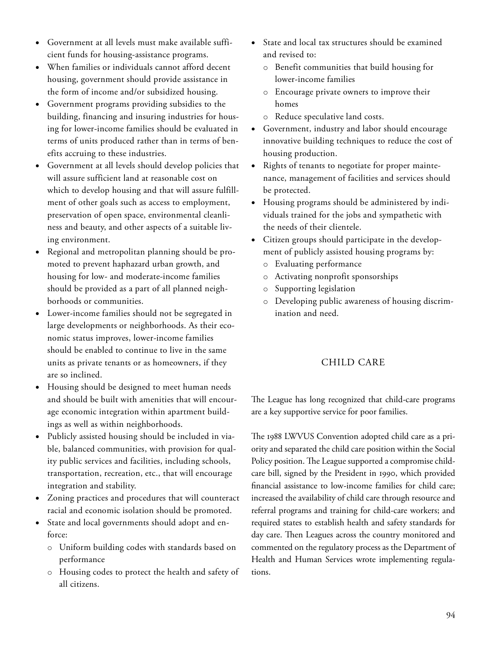- Government at all levels must make available sufficient funds for housing-assistance programs.
- When families or individuals cannot afford decent housing, government should provide assistance in the form of income and/or subsidized housing.
- Government programs providing subsidies to the building, financing and insuring industries for housing for lower-income families should be evaluated in terms of units produced rather than in terms of benefits accruing to these industries.
- Government at all levels should develop policies that will assure sufficient land at reasonable cost on which to develop housing and that will assure fulfillment of other goals such as access to employment, preservation of open space, environmental cleanliness and beauty, and other aspects of a suitable living environment.
- Regional and metropolitan planning should be promoted to prevent haphazard urban growth, and housing for low- and moderate-income families should be provided as a part of all planned neighborhoods or communities.
- Lower-income families should not be segregated in large developments or neighborhoods. As their economic status improves, lower-income families should be enabled to continue to live in the same units as private tenants or as homeowners, if they are so inclined.
- Housing should be designed to meet human needs and should be built with amenities that will encourage economic integration within apartment buildings as well as within neighborhoods.
- Publicly assisted housing should be included in viable, balanced communities, with provision for quality public services and facilities, including schools, transportation, recreation, etc., that will encourage integration and stability.
- Zoning practices and procedures that will counteract racial and economic isolation should be promoted.
- State and local governments should adopt and enforce:
	- o Uniform building codes with standards based on performance
	- o Housing codes to protect the health and safety of all citizens.
- State and local tax structures should be examined and revised to:
	- o Benefit communities that build housing for lower-income families
	- o Encourage private owners to improve their homes
	- o Reduce speculative land costs.
- Government, industry and labor should encourage innovative building techniques to reduce the cost of housing production.
- Rights of tenants to negotiate for proper maintenance, management of facilities and services should be protected.
- Housing programs should be administered by individuals trained for the jobs and sympathetic with the needs of their clientele.
- Citizen groups should participate in the development of publicly assisted housing programs by:
	- o Evaluating performance
	- o Activating nonprofit sponsorships
	- o Supporting legislation
	- o Developing public awareness of housing discrimination and need.

# CHILD CARE

The League has long recognized that child-care programs are a key supportive service for poor families.

The 1988 LWVUS Convention adopted child care as a priority and separated the child care position within the Social Policy position. The League supported a compromise childcare bill, signed by the President in 1990, which provided financial assistance to low-income families for child care; increased the availability of child care through resource and referral programs and training for child-care workers; and required states to establish health and safety standards for day care. Then Leagues across the country monitored and commented on the regulatory process as the Department of Health and Human Services wrote implementing regulations.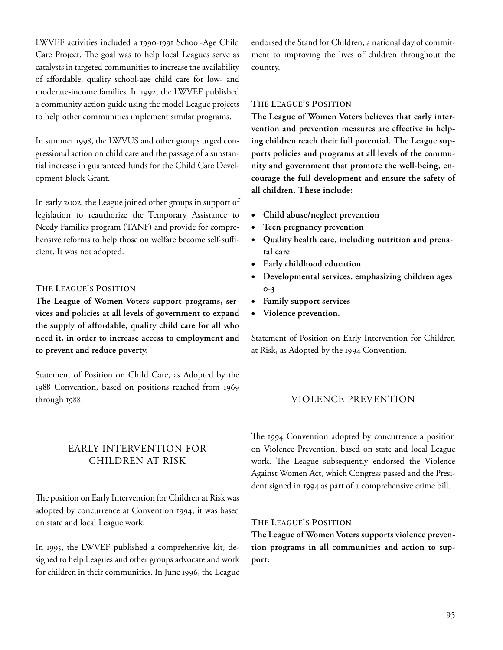LWVEF activities included a 1990-1991 School-Age Child Care Project. The goal was to help local Leagues serve as catalysts in targeted communities to increase the availability of affordable, quality school-age child care for low- and moderate-income families. In 1992, the LWVEF published a community action guide using the model League projects to help other communities implement similar programs.

In summer 1998, the LWVUS and other groups urged congressional action on child care and the passage of a substantial increase in guaranteed funds for the Child Care Development Block Grant.

In early 2002, the League joined other groups in support of legislation to reauthorize the Temporary Assistance to Needy Families program (TANF) and provide for comprehensive reforms to help those on welfare become self-sufficient. It was not adopted.

# THE LEAGUE'S POSITION

The League of Women Voters support programs, services and policies at all levels of government to expand the supply of affordable, quality child care for all who need it, in order to increase access to employment and to prevent and reduce poverty.

Statement of Position on Child Care, as Adopted by the 1988 Convention, based on positions reached from 1969 through 1988.

# EARLY INTERVENTION FOR CHILDREN AT RISK

The position on Early Intervention for Children at Risk was adopted by concurrence at Convention 1994; it was based on state and local League work.

In 1995, the LWVEF published a comprehensive kit, designed to help Leagues and other groups advocate and work for children in their communities. In June 1996, the League

endorsed the Stand for Children, a national day of commitment to improving the lives of children throughout the country.

# THE LEAGUE'S POSITION

The League of Women Voters believes that early intervention and prevention measures are effective in helping children reach their full potential. The League supports policies and programs at all levels of the community and government that promote the well-being, encourage the full development and ensure the safety of all children. These include:

- Child abuse/neglect prevention
- Teen pregnancy prevention
- Quality health care, including nutrition and prenatal care
- Early childhood education
- Developmental services, emphasizing children ages  $O-3$
- Family support services
- Violence prevention.

Statement of Position on Early Intervention for Children at Risk, as Adopted by the 1994 Convention.

# VIOLENCE PREVENTION

The 1994 Convention adopted by concurrence a position on Violence Prevention, based on state and local League work. The League subsequently endorsed the Violence Against Women Act, which Congress passed and the President signed in 1994 as part of a comprehensive crime bill.

#### THE LEAGUE'S POSITION

The League of Women Voters supports violence prevention programs in all communities and action to support: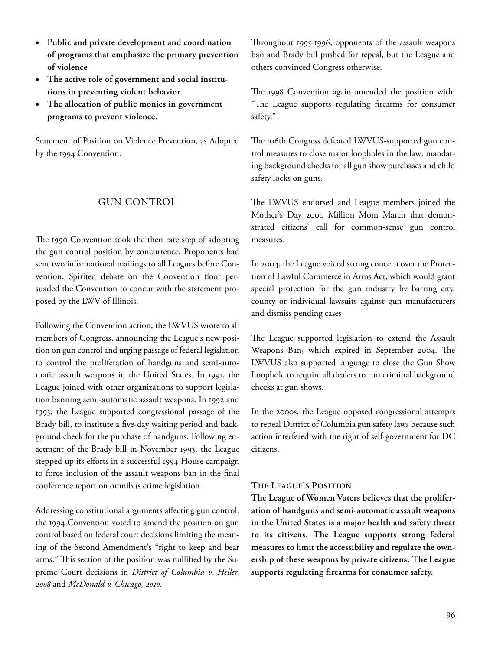- Public and private development and coordination of programs that emphasize the primary prevention of violence
- The active role of government and social institutions in preventing violent behavior
- The allocation of public monies in government programs to prevent violence.

Statement of Position on Violence Prevention, as Adopted by the 1994 Convention.

# GUN CONTROL

The 1990 Convention took the then rare step of adopting the gun control position by concurrence. Proponents had sent two informational mailings to all Leagues before Convention. Spirited debate on the Convention floor persuaded the Convention to concur with the statement proposed by the LWV of Illinois.

Following the Convention action, the LWVUS wrote to all members of Congress, announcing the League's new position on gun control and urging passage of federal legislation to control the proliferation of handguns and semi-automatic assault weapons in the United States. In 1991, the League joined with other organizations to support legislation banning semi-automatic assault weapons. In 1992 and 1993, the League supported congressional passage of the Brady bill, to institute a five-day waiting period and background check for the purchase of handguns. Following enactment of the Brady bill in November 1993, the League stepped up its efforts in a successful 1994 House campaign to force inclusion of the assault weapons ban in the final conference report on omnibus crime legislation.

Addressing constitutional arguments affecting gun control, the 1994 Convention voted to amend the position on gun control based on federal court decisions limiting the meaning of the Second Amendment's "right to keep and bear arms." This section of the position was nullified by the Supreme Court decisions in District of Columbia v. Heller, 2008 and McDonald v. Chicago, 2010.

Throughout 1995-1996, opponents of the assault weapons ban and Brady bill pushed for repeal, but the League and others convinced Congress otherwise.

The 1998 Convention again amended the position with: "The League supports regulating firearms for consumer safety."

The 106th Congress defeated LWVUS-supported gun control measures to close major loopholes in the law: mandating background checks for all gun show purchases and child safety locks on guns.

The LWVUS endorsed and League members joined the Mother's Day 2000 Million Mom March that demonstrated citizens' call for common-sense gun control measures.

In 2004, the League voiced strong concern over the Protection of Lawful Commerce in Arms Act, which would grant special protection for the gun industry by barring city, county or individual lawsuits against gun manufacturers and dismiss pending cases

The League supported legislation to extend the Assault Weapons Ban, which expired in September 2004. The LWVUS also supported language to close the Gun Show Loophole to require all dealers to run criminal background checks at gun shows.

In the 2000s, the League opposed congressional attempts to repeal District of Columbia gun safety laws because such action interfered with the right of self-government for DC citizens.

# THE LEAGUE'S POSITION

The League of Women Voters believes that the proliferation of handguns and semi-automatic assault weapons in the United States is a major health and safety threat to its citizens. The League supports strong federal measures to limit the accessibility and regulate the ownership of these weapons by private citizens. The League supports regulating firearms for consumer safety.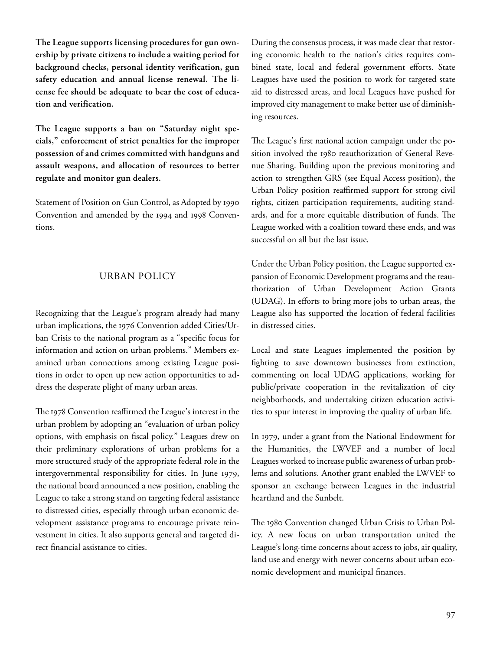The League supports licensing procedures for gun ownership by private citizens to include a waiting period for background checks, personal identity verification, gun safety education and annual license renewal. The license fee should be adequate to bear the cost of education and verification.

The League supports a ban on "Saturday night specials," enforcement of strict penalties for the improper possession of and crimes committed with handguns and assault weapons, and allocation of resources to better regulate and monitor gun dealers.

Statement of Position on Gun Control, as Adopted by Convention and amended by the 1994 and 1998 Conventions.

# URBAN POLICY

Recognizing that the League's program already had many urban implications, the 1976 Convention added Cities/Urban Crisis to the national program as a "specific focus for information and action on urban problems." Members examined urban connections among existing League positions in order to open up new action opportunities to address the desperate plight of many urban areas.

The 1978 Convention reaffirmed the League's interest in the urban problem by adopting an "evaluation of urban policy options, with emphasis on fiscal policy." Leagues drew on their preliminary explorations of urban problems for a more structured study of the appropriate federal role in the intergovernmental responsibility for cities. In June 1979, the national board announced a new position, enabling the League to take a strong stand on targeting federal assistance to distressed cities, especially through urban economic development assistance programs to encourage private reinvestment in cities. It also supports general and targeted direct financial assistance to cities.

During the consensus process, it was made clear that restoring economic health to the nation's cities requires combined state, local and federal government efforts. State Leagues have used the position to work for targeted state aid to distressed areas, and local Leagues have pushed for improved city management to make better use of diminishing resources.

The League's first national action campaign under the position involved the 1980 reauthorization of General Revenue Sharing. Building upon the previous monitoring and action to strengthen GRS (see Equal Access position), the Urban Policy position reaffirmed support for strong civil rights, citizen participation requirements, auditing standards, and for a more equitable distribution of funds. The League worked with a coalition toward these ends, and was successful on all but the last issue.

Under the Urban Policy position, the League supported expansion of Economic Development programs and the reauthorization of Urban Development Action Grants (UDAG). In efforts to bring more jobs to urban areas, the League also has supported the location of federal facilities in distressed cities.

Local and state Leagues implemented the position by fighting to save downtown businesses from extinction, commenting on local UDAG applications, working for public/private cooperation in the revitalization of city neighborhoods, and undertaking citizen education activities to spur interest in improving the quality of urban life.

In 1979, under a grant from the National Endowment for the Humanities, the LWVEF and a number of local Leagues worked to increase public awareness of urban problems and solutions. Another grant enabled the LWVEF to sponsor an exchange between Leagues in the industrial heartland and the Sunbelt.

The 1980 Convention changed Urban Crisis to Urban Policy. A new focus on urban transportation united the League's long-time concerns about access to jobs, air quality, land use and energy with newer concerns about urban economic development and municipal finances.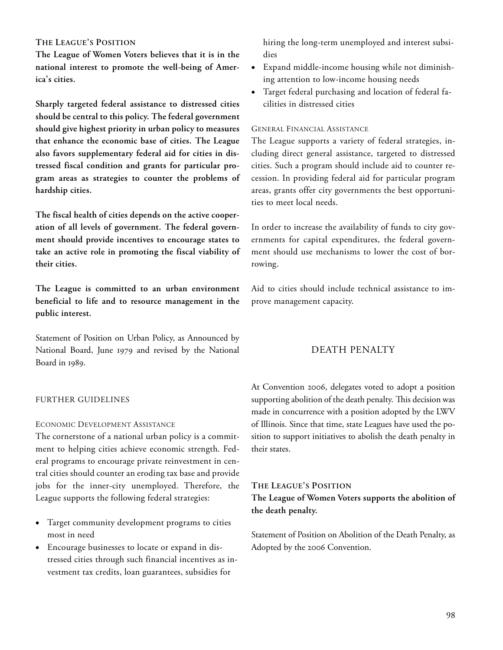# THE LEAGUE'S POSITION

The League of Women Voters believes that it is in the national interest to promote the well-being of America's cities.

Sharply targeted federal assistance to distressed cities should be central to this policy. The federal government should give highest priority in urban policy to measures that enhance the economic base of cities. The League also favors supplementary federal aid for cities in distressed fiscal condition and grants for particular program areas as strategies to counter the problems of hardship cities.

The fiscal health of cities depends on the active cooperation of all levels of government. The federal government should provide incentives to encourage states to take an active role in promoting the fiscal viability of their cities.

The League is committed to an urban environment beneficial to life and to resource management in the public interest.

Statement of Position on Urban Policy, as Announced by National Board, June 1979 and revised by the National Board in 1989.

### FURTHER GUIDELINES

#### ECONOMIC DEVELOPMENT ASSISTANCE

The cornerstone of a national urban policy is a commitment to helping cities achieve economic strength. Federal programs to encourage private reinvestment in central cities should counter an eroding tax base and provide jobs for the inner-city unemployed. Therefore, the League supports the following federal strategies:

- Target community development programs to cities most in need
- Encourage businesses to locate or expand in distressed cities through such financial incentives as investment tax credits, loan guarantees, subsidies for

hiring the long-term unemployed and interest subsidies

- Expand middle-income housing while not diminishing attention to low-income housing needs
- Target federal purchasing and location of federal facilities in distressed cities

#### GENERAL FINANCIAL ASSISTANCE

The League supports a variety of federal strategies, including direct general assistance, targeted to distressed cities. Such a program should include aid to counter recession. In providing federal aid for particular program areas, grants offer city governments the best opportunities to meet local needs.

In order to increase the availability of funds to city governments for capital expenditures, the federal government should use mechanisms to lower the cost of borrowing.

Aid to cities should include technical assistance to improve management capacity.

# DEATH PENALTY

At Convention 2006, delegates voted to adopt a position supporting abolition of the death penalty. This decision was made in concurrence with a position adopted by the LWV of Illinois. Since that time, state Leagues have used the position to support initiatives to abolish the death penalty in their states.

# THE LEAGUE'S POSITION

The League of Women Voters supports the abolition of the death penalty.

Statement of Position on Abolition of the Death Penalty, as Adopted by the 2006 Convention.